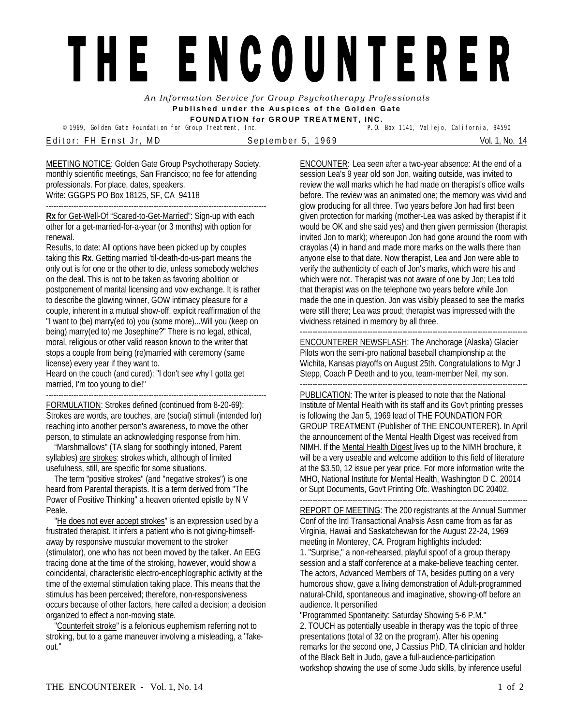## THE ENCOUNTERER

*An Information Service for Group Psychotherapy Professionals*  **Published under the Auspices of the Golden Gate FOUNDATION for GROUP TREATMENT, INC.** 

© 1969, Golden Gate Foundation for Group Treatment, Inc.

Editor: FH Ernst Jr, MD September 5, 1969 Vol. 1, No. 14

MEETING NOTICE: Golden Gate Group Psychotherapy Society, monthly scientific meetings, San Francisco; no fee for attending professionals. For place, dates, speakers. Write: GGGPS PO Box 18125, SF, CA 94118

---------------------------------------------------------------------------------------- **Rx** for Get-Well-Of "Scared-to-Get-Married": Sign-up with each other for a get-married-for-a-year (or 3 months) with option for renewal.

Results, to date: All options have been picked up by couples taking this **Rx**. Getting married 'til-death-do-us-part means the only out is for one or the other to die, unless somebody welches on the deal. This is not to be taken as favoring abolition or postponement of marital licensing and vow exchange. It is rather to describe the glowing winner, GOW intimacy pleasure for *a*  couple, inherent in a mutual show-off, explicit reaffirmation of the "I want to (be) marry(ed to) you (some more)...Will you (keep on being) marry(ed to) me Josephine?" There is no legal, ethical, moral, religious or other valid reason known to the writer that stops a couple from being (re)married with ceremony (same license) every year if they want to.

Heard on the couch (and cured): "I don't see why I gotta get married, I'm too young to die!"

----------------------------------------------------------------------------------------

FORMULATION: Strokes defined (continued from 8-20-69): Strokes are words, are touches, are (social) stimuli (intended for) reaching into another person's awareness, to move the other person, to stimulate an acknowledging response from him.

 "Marshmallows" (TA slang for soothingly intoned, Parent syllables) are strokes: strokes which, although of limited usefulness, still, are specific for some situations.

 The term "positive strokes" (and "negative strokes") is one heard from Parental therapists. It is a term derived from "The Power of Positive Thinking" a heaven oriented epistle by N V Peale.

"He does not ever accept strokes" is an expression used by a frustrated therapist. It infers a patient who is not giving-himselfaway by responsive muscular movement to the stroker (stimulator), one who has not been moved by the talker. An EEG tracing done at the time of the stroking, however, would show a coincidental, characteristic electro-encephlographic activity at the time of the external stimulation taking place. This means that the stimulus has been perceived; therefore, non-responsiveness occurs because of other factors, here called a decision; a decision organized to effect a non-moving state.

 "Counterfeit stroke" is a felonious euphemism referring not to stroking, but to a game maneuver involving a misleading, a "fakeout."

ENCOUNTER: Lea seen after a two-year absence: At the end of a session Lea's 9 year old son Jon, waiting outside, was invited to review the wall marks which he had made on therapist's office walls before. The review was an animated one; the memory was vivid and glow producing for all three. Two years before Jon had first been given protection for marking (mother-Lea was asked by therapist if it would be OK and she said yes) and then given permission (therapist invited Jon to mark); whereupon Jon had gone around the room with crayolas (4) in hand and made more marks on the walls there than anyone else to that date. Now therapist, Lea and Jon were able to verify the authenticity of each of Jon's marks, which were his and which were not. Therapist was not aware of one by Jon; Lea told that therapist was on the telephone two years before while Jon made the one in question. Jon was visibly pleased to see the marks were still there; Lea was proud; therapist was impressed with the vividness retained in memory by all three.

------------------------------------------------------------------------------------------- ENCOUNTERER NEWSFLASH: The Anchorage (Alaska) Glacier Pilots won the semi-pro national baseball championship at the Wichita, Kansas playoffs on August 25th. Congratulations to Mgr J Stepp, Coach P Deeth and to you, team-member Neil, my son. -------------------------------------------------------------------------------------------

PUBLICATION: The writer is pleased to note that the National Institute of Mental Health with its staff and its Gov't printing presses is following the Jan 5, 1969 lead of THE FOUNDATION FOR GROUP TREATMENT (Publisher of THE ENCOUNTERER). In April the announcement of the Mental Health Digest was received from NIMH. If the Mental Health Digest lives up to the NIMH brochure, it will be a very useable and welcome addition to this field of literature at the \$3.50, 12 issue per year price. For more information write the MHO, National Institute for Mental Health, Washington D C. 20014 or Supt Documents, Gov't Printing Ofc. Washington DC 20402.

------------------------------------------------------------------------------------------- REPORT OF MEETING: The 200 registrants at the Annual Summer Conf of the Intl Transactional Analysis Assn came from as far as Virginia, Hawaii and Saskatchewan for the August 22-24, 1969 meeting in Monterey, CA. Program highlights included: 1. "Surprise," a non-rehearsed, playful spoof of a group therapy session and a staff conference at a make-believe teaching center. The actors, Advanced Members of TA, besides putting on a very humorous show, gave a living demonstration of Adult-programmed natural-Child, spontaneous and imaginative, showing-off before an audience. It personified

"Programmed Spontaneity: Saturday Showing 5-6 P.M." 2. TOUCH as potentially useable in therapy was the topic of three presentations (total of 32 on the program). After his opening remarks for the second one, J Cassius PhD, TA clinician and holder of the Black Belt in Judo, gave a full-audience-participation workshop showing the use of some Judo skills, by inference useful